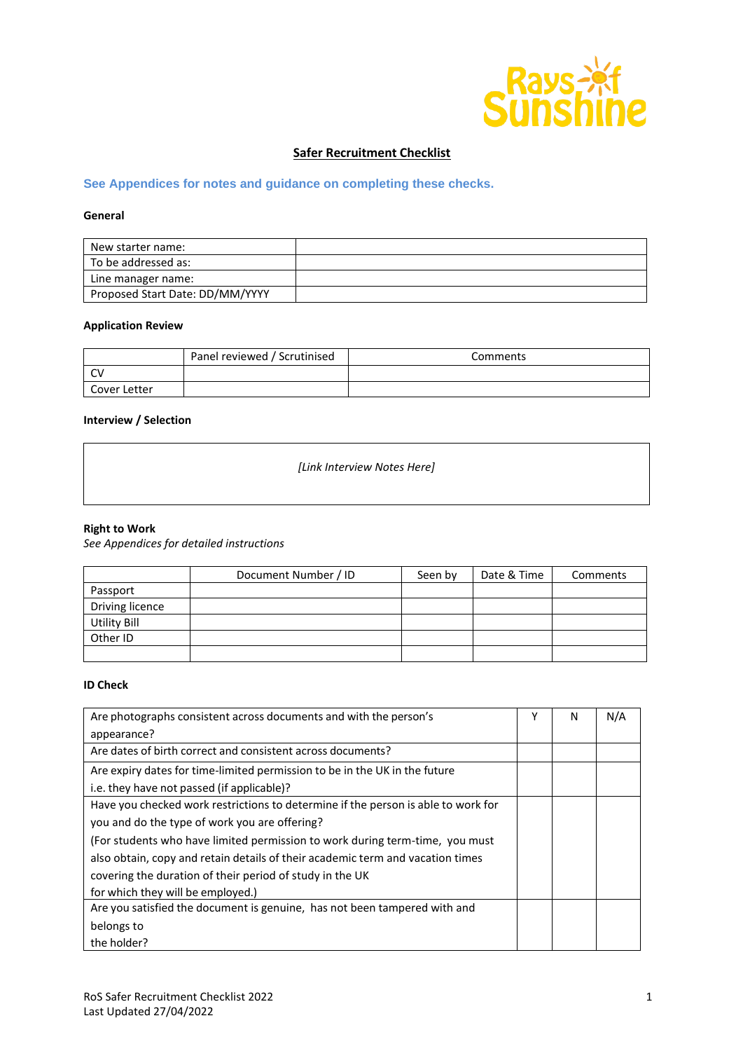

# **Safer Recruitment Checklist**

## **See Appendices for notes and guidance on completing these checks.**

## **General**

| New starter name:               |  |
|---------------------------------|--|
| To be addressed as:             |  |
| Line manager name:              |  |
| Proposed Start Date: DD/MM/YYYY |  |

#### **Application Review**

|              | Panel reviewed / Scrutinised | Comments |
|--------------|------------------------------|----------|
| $\sim$       |                              |          |
| Cover Letter |                              |          |

## **Interview / Selection**

*[Link Interview Notes Here]*

#### **Right to Work**

*See Appendices for detailed instructions*

|                     | Document Number / ID | Seen by | Date & Time | Comments |
|---------------------|----------------------|---------|-------------|----------|
| Passport            |                      |         |             |          |
| Driving licence     |                      |         |             |          |
| <b>Utility Bill</b> |                      |         |             |          |
| Other ID            |                      |         |             |          |
|                     |                      |         |             |          |

### **ID Check**

| Are photographs consistent across documents and with the person's                 | γ | N | N/A |
|-----------------------------------------------------------------------------------|---|---|-----|
| appearance?                                                                       |   |   |     |
| Are dates of birth correct and consistent across documents?                       |   |   |     |
| Are expiry dates for time-limited permission to be in the UK in the future        |   |   |     |
| i.e. they have not passed (if applicable)?                                        |   |   |     |
| Have you checked work restrictions to determine if the person is able to work for |   |   |     |
| you and do the type of work you are offering?                                     |   |   |     |
| (For students who have limited permission to work during term-time, you must      |   |   |     |
| also obtain, copy and retain details of their academic term and vacation times    |   |   |     |
| covering the duration of their period of study in the UK                          |   |   |     |
| for which they will be employed.)                                                 |   |   |     |
| Are you satisfied the document is genuine, has not been tampered with and         |   |   |     |
| belongs to                                                                        |   |   |     |
| the holder?                                                                       |   |   |     |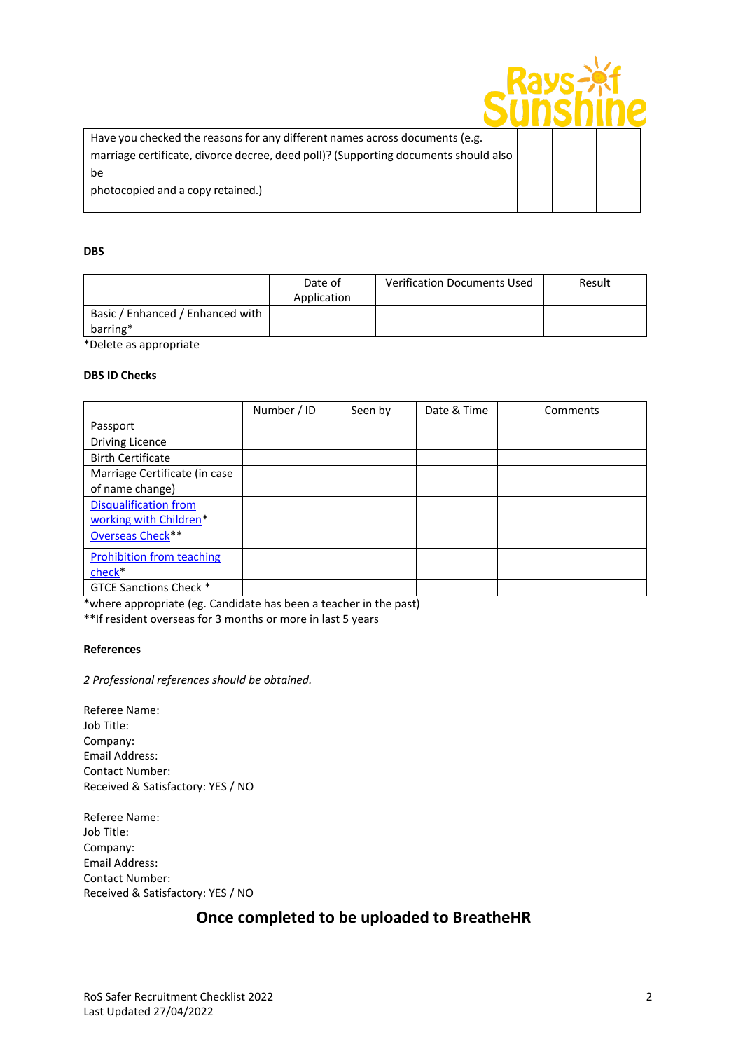| Have you checked the reasons for any different names across documents (e.g.<br>marriage certificate, divorce decree, deed poll)? (Supporting documents should also |  |  |
|--------------------------------------------------------------------------------------------------------------------------------------------------------------------|--|--|
| be                                                                                                                                                                 |  |  |
| photocopied and a copy retained.)                                                                                                                                  |  |  |
|                                                                                                                                                                    |  |  |

#### **DBS**

|                                              | Date of<br>Application | <b>Verification Documents Used</b> | Result |
|----------------------------------------------|------------------------|------------------------------------|--------|
| Basic / Enhanced / Enhanced with<br>barring* |                        |                                    |        |

\*Delete as appropriate

## **DBS ID Checks**

|                                  | Number / ID | Seen by | Date & Time | Comments |
|----------------------------------|-------------|---------|-------------|----------|
| Passport                         |             |         |             |          |
| <b>Driving Licence</b>           |             |         |             |          |
| <b>Birth Certificate</b>         |             |         |             |          |
| Marriage Certificate (in case    |             |         |             |          |
| of name change)                  |             |         |             |          |
| <b>Disqualification from</b>     |             |         |             |          |
| working with Children*           |             |         |             |          |
| Overseas Check**                 |             |         |             |          |
| <b>Prohibition from teaching</b> |             |         |             |          |
| check <sup>*</sup>               |             |         |             |          |
| <b>GTCE Sanctions Check *</b>    |             |         |             |          |

\*where appropriate (eg. Candidate has been a teacher in the past)

\*\*If resident overseas for 3 months or more in last 5 years

## **References**

*2 Professional references should be obtained.* 

Referee Name: Job Title: Company: Email Address: Contact Number: Received & Satisfactory: YES / NO

Referee Name: Job Title: Company: Email Address: Contact Number: Received & Satisfactory: YES / NO

# **Once completed to be uploaded to BreatheHR**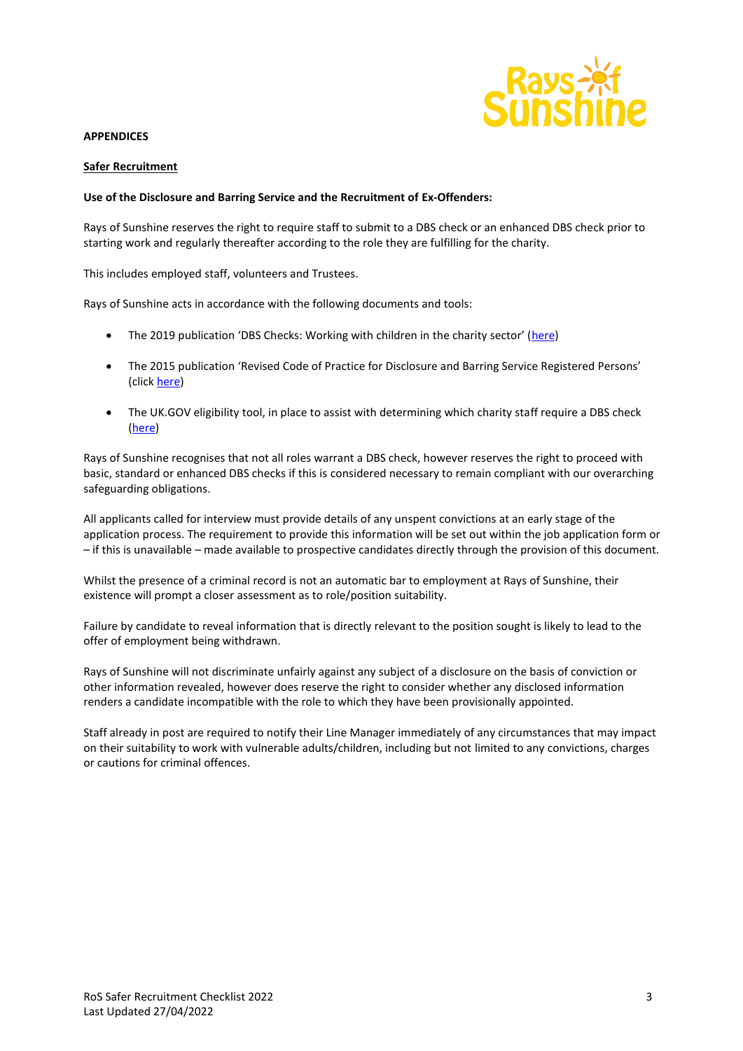

#### **APPENDICES**

#### **Safer Recruitment**

#### **Use of the Disclosure and Barring Service and the Recruitment of Ex-Offenders:**

Rays of Sunshine reserves the right to require staff to submit to a DBS check or an enhanced DBS check prior to starting work and regularly thereafter according to the role they are fulfilling for the charity.

This includes employed staff, volunteers and Trustees.

Rays of Sunshine acts in accordance with the following documents and tools:

- The 2019 publication 'DBS Checks: Working with children in the charity sector' ([here\)](https://assets.publishing.service.gov.uk/government/uploads/system/uploads/attachment_data/file/789061/ENGLISH_-_CCS156_CCS0219642870-001_Charity_Roles_Children_Web.pdf)
- The 2015 publication 'Revised Code of Practice for Disclosure and Barring Service Registered Persons' (click [here\)](https://assets.publishing.service.gov.uk/government/uploads/system/uploads/attachment_data/file/474742/Code_of_Practice_for_Disclosure_and_Barring_Service_Nov_15.pdf)
- The UK.GOV eligibility tool, in place to assist with determining which charity staff require a DBS check [\(here\)](https://www.gov.uk/find-out-dbs-check)

Rays of Sunshine recognises that not all roles warrant a DBS check, however reserves the right to proceed with basic, standard or enhanced DBS checks if this is considered necessary to remain compliant with our overarching safeguarding obligations.

All applicants called for interview must provide details of any unspent convictions at an early stage of the application process. The requirement to provide this information will be set out within the job application form or – if this is unavailable – made available to prospective candidates directly through the provision of this document.

Whilst the presence of a criminal record is not an automatic bar to employment at Rays of Sunshine, their existence will prompt a closer assessment as to role/position suitability.

Failure by candidate to reveal information that is directly relevant to the position sought is likely to lead to the offer of employment being withdrawn.

Rays of Sunshine will not discriminate unfairly against any subject of a disclosure on the basis of conviction or other information revealed, however does reserve the right to consider whether any disclosed information renders a candidate incompatible with the role to which they have been provisionally appointed.

Staff already in post are required to notify their Line Manager immediately of any circumstances that may impact on their suitability to work with vulnerable adults/children, including but not limited to any convictions, charges or cautions for criminal offences.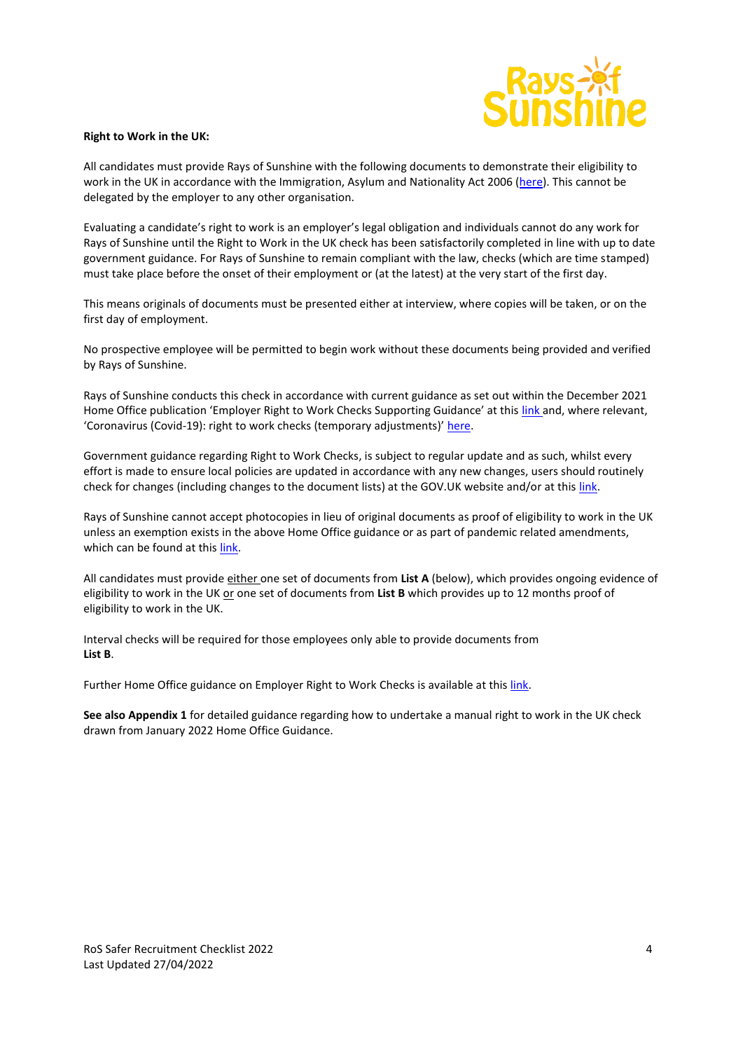

#### **Right to Work in the UK:**

All candidates must provide Rays of Sunshine with the following documents to demonstrate their eligibility to work in the UK in accordance with the Immigration, Asylum and Nationality Act 2006 [\(here\)](https://www.legislation.gov.uk/ukpga/2006/13/contents). This cannot be delegated by the employer to any other organisation.

Evaluating a candidate's right to work is an employer's legal obligation and individuals cannot do any work for Rays of Sunshine until the Right to Work in the UK check has been satisfactorily completed in line with up to date government guidance. For Rays of Sunshine to remain compliant with the law, checks (which are time stamped) must take place before the onset of their employment or (at the latest) at the very start of the first day.

This means originals of documents must be presented either at interview, where copies will be taken, or on the first day of employment.

No prospective employee will be permitted to begin work without these documents being provided and verified by Rays of Sunshine.

Rays of Sunshine conducts this check in accordance with current guidance as set out within the December 2021 Home Office publication 'Employer Right to Work Checks Supporting Guidance' at this [link a](https://assets.publishing.service.gov.uk/government/uploads/system/uploads/attachment_data/file/1042343/2021.12.16_Employer_s_Guide_Edit.pdf)nd, where relevant, 'Coronavirus (Covid-19): right to work checks (temporary adjustments)' [here.](https://www.gov.uk/guidance/coronavirus-covid-19-right-to-work-checks#end-of-temporary-adjustments)

Government guidance regarding Right to Work Checks, is subject to regular update and as such, whilst every effort is made to ensure local policies are updated in accordance with any new changes, users should routinely check for changes (including changes to the document lists) at the GOV.UK website and/or at this [link.](https://www.gov.uk/government/publications/right-to-work-checks-employers-guide)

Rays of Sunshine cannot accept photocopies in lieu of original documents as proof of eligibility to work in the UK unless an exemption exists in the above Home Office guidance or as part of pandemic related amendments, which can be found at this [link.](https://www.gov.uk/guidance/coronavirus-covid-19-right-to-work-checks#updated-advice-for-employers-carrying-out-right-to-work-checks-during-coronavirus-covid-19-adjusted-measures)

All candidates must provide either one set of documents from **List A** (below), which provides ongoing evidence of eligibility to work in the UK or one set of documents from List B which provides up to 12 months proof of eligibility to work in the UK.

Interval checks will be required for those employees only able to provide documents from **List B**.

Further Home Office guidance on Employer Right to Work Checks is available at this [link.](https://assets.publishing.service.gov.uk/government/uploads/system/uploads/attachment_data/file/1047370/2022_01_17_Employer_s_Guide_.pdf)

**See also Appendix 1** for detailed guidance regarding how to undertake a manual right to work in the UK check drawn from January 2022 Home Office Guidance.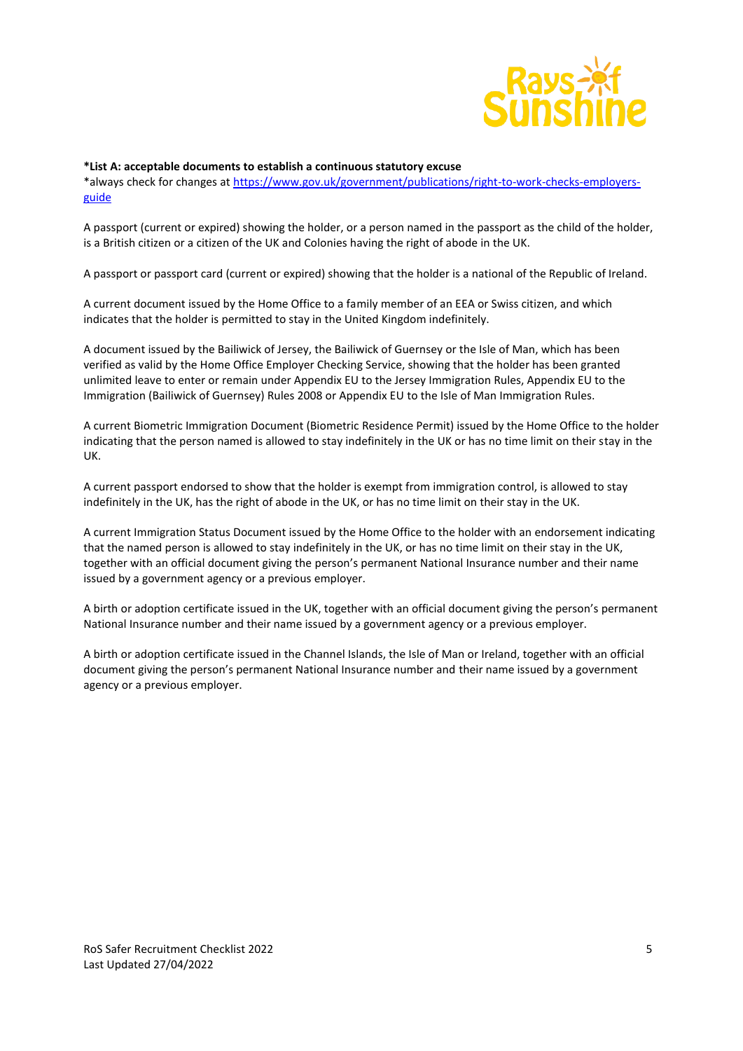

#### **\*List A: acceptable documents to establish a continuous statutory excuse**

\*always check for changes at [https://www.gov.uk/government/publications/right-to-work-checks-employers](https://www.gov.uk/government/publications/right-to-work-checks-employers-guide)[guide](https://www.gov.uk/government/publications/right-to-work-checks-employers-guide)

A passport (current or expired) showing the holder, or a person named in the passport as the child of the holder, is a British citizen or a citizen of the UK and Colonies having the right of abode in the UK.

A passport or passport card (current or expired) showing that the holder is a national of the Republic of Ireland.

A current document issued by the Home Office to a family member of an EEA or Swiss citizen, and which indicates that the holder is permitted to stay in the United Kingdom indefinitely.

A document issued by the Bailiwick of Jersey, the Bailiwick of Guernsey or the Isle of Man, which has been verified as valid by the Home Office Employer Checking Service, showing that the holder has been granted unlimited leave to enter or remain under Appendix EU to the Jersey Immigration Rules, Appendix EU to the Immigration (Bailiwick of Guernsey) Rules 2008 or Appendix EU to the Isle of Man Immigration Rules.

A current Biometric Immigration Document (Biometric Residence Permit) issued by the Home Office to the holder indicating that the person named is allowed to stay indefinitely in the UK or has no time limit on their stay in the UK.

A current passport endorsed to show that the holder is exempt from immigration control, is allowed to stay indefinitely in the UK, has the right of abode in the UK, or has no time limit on their stay in the UK.

A current Immigration Status Document issued by the Home Office to the holder with an endorsement indicating that the named person is allowed to stay indefinitely in the UK, or has no time limit on their stay in the UK, together with an official document giving the person's permanent National Insurance number and their name issued by a government agency or a previous employer.

A birth or adoption certificate issued in the UK, together with an official document giving the person's permanent National Insurance number and their name issued by a government agency or a previous employer.

A birth or adoption certificate issued in the Channel Islands, the Isle of Man or Ireland, together with an official document giving the person's permanent National Insurance number and their name issued by a government agency or a previous employer.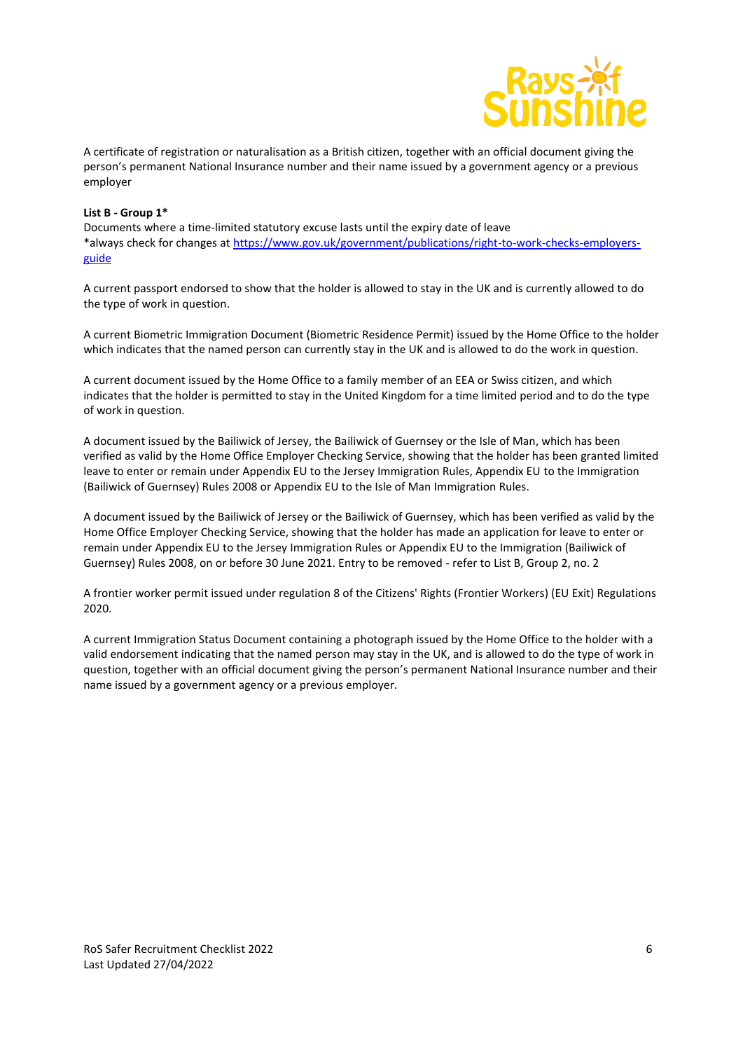

A certificate of registration or naturalisation as a British citizen, together with an official document giving the person's permanent National Insurance number and their name issued by a government agency or a previous employer

#### **List B - Group 1\***

Documents where a time-limited statutory excuse lasts until the expiry date of leave \*always check for changes at [https://www.gov.uk/government/publications/right-to-work-checks-employers](https://www.gov.uk/government/publications/right-to-work-checks-employers-guide)[guide](https://www.gov.uk/government/publications/right-to-work-checks-employers-guide)

A current passport endorsed to show that the holder is allowed to stay in the UK and is currently allowed to do the type of work in question.

A current Biometric Immigration Document (Biometric Residence Permit) issued by the Home Office to the holder which indicates that the named person can currently stay in the UK and is allowed to do the work in question.

A current document issued by the Home Office to a family member of an EEA or Swiss citizen, and which indicates that the holder is permitted to stay in the United Kingdom for a time limited period and to do the type of work in question.

A document issued by the Bailiwick of Jersey, the Bailiwick of Guernsey or the Isle of Man, which has been verified as valid by the Home Office Employer Checking Service, showing that the holder has been granted limited leave to enter or remain under Appendix EU to the Jersey Immigration Rules, Appendix EU to the Immigration (Bailiwick of Guernsey) Rules 2008 or Appendix EU to the Isle of Man Immigration Rules.

A document issued by the Bailiwick of Jersey or the Bailiwick of Guernsey, which has been verified as valid by the Home Office Employer Checking Service, showing that the holder has made an application for leave to enter or remain under Appendix EU to the Jersey Immigration Rules or Appendix EU to the Immigration (Bailiwick of Guernsey) Rules 2008, on or before 30 June 2021. Entry to be removed - refer to List B, Group 2, no. 2

A frontier worker permit issued under regulation 8 of the Citizens' Rights (Frontier Workers) (EU Exit) Regulations 2020.

A current Immigration Status Document containing a photograph issued by the Home Office to the holder with a valid endorsement indicating that the named person may stay in the UK, and is allowed to do the type of work in question, together with an official document giving the person's permanent National Insurance number and their name issued by a government agency or a previous employer.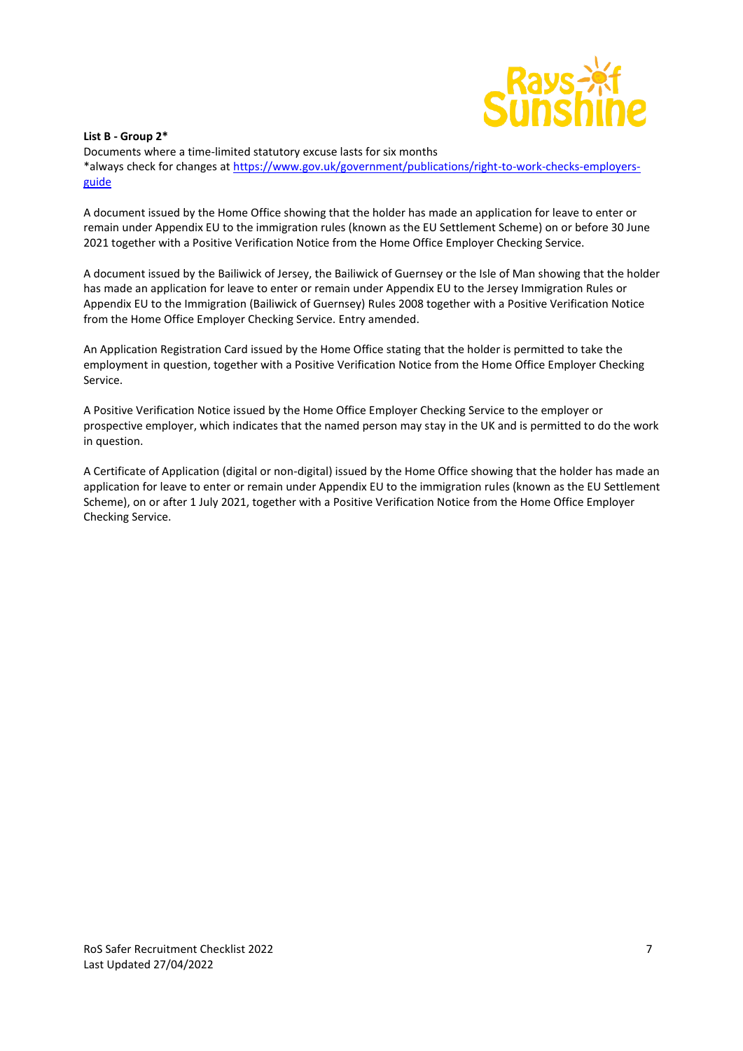

#### **List B - Group 2\***

Documents where a time-limited statutory excuse lasts for six months \*always check for changes at [https://www.gov.uk/government/publications/right-to-work-checks-employers](https://www.gov.uk/government/publications/right-to-work-checks-employers-guide)[guide](https://www.gov.uk/government/publications/right-to-work-checks-employers-guide)

A document issued by the Home Office showing that the holder has made an application for leave to enter or remain under Appendix EU to the immigration rules (known as the EU Settlement Scheme) on or before 30 June 2021 together with a Positive Verification Notice from the Home Office Employer Checking Service.

A document issued by the Bailiwick of Jersey, the Bailiwick of Guernsey or the Isle of Man showing that the holder has made an application for leave to enter or remain under Appendix EU to the Jersey Immigration Rules or Appendix EU to the Immigration (Bailiwick of Guernsey) Rules 2008 together with a Positive Verification Notice from the Home Office Employer Checking Service. Entry amended.

An Application Registration Card issued by the Home Office stating that the holder is permitted to take the employment in question, together with a Positive Verification Notice from the Home Office Employer Checking Service.

A Positive Verification Notice issued by the Home Office Employer Checking Service to the employer or prospective employer, which indicates that the named person may stay in the UK and is permitted to do the work in question.

A Certificate of Application (digital or non-digital) issued by the Home Office showing that the holder has made an application for leave to enter or remain under Appendix EU to the immigration rules (known as the EU Settlement Scheme), on or after 1 July 2021, together with a Positive Verification Notice from the Home Office Employer Checking Service.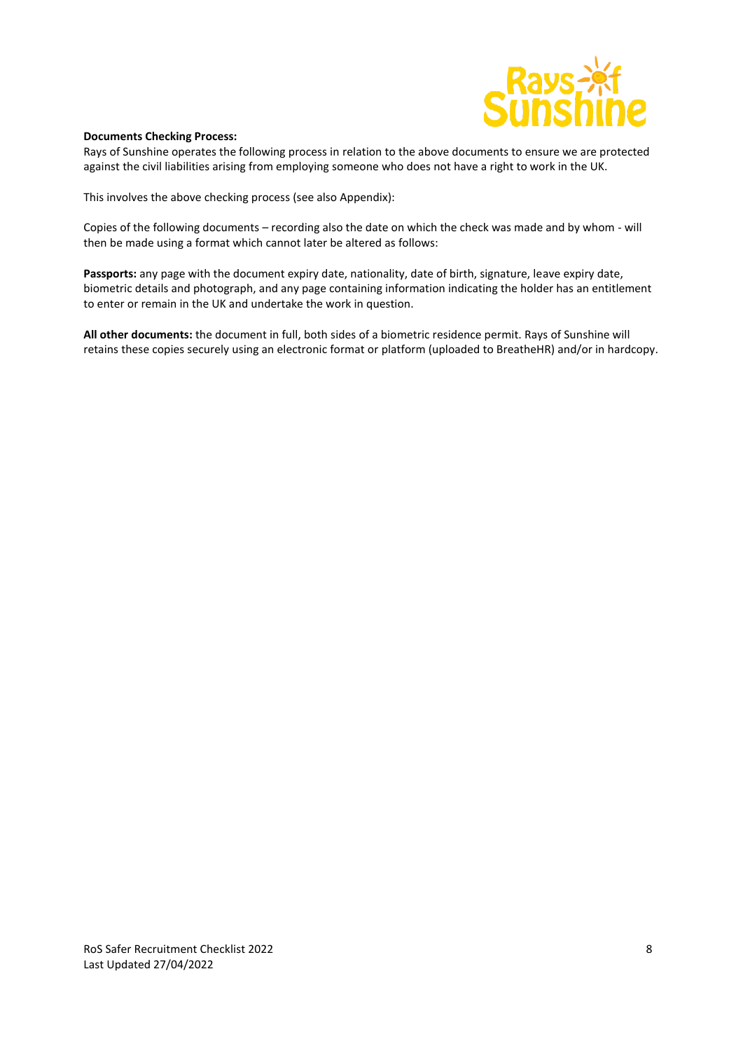

#### **Documents Checking Process:**

Rays of Sunshine operates the following process in relation to the above documents to ensure we are protected against the civil liabilities arising from employing someone who does not have a right to work in the UK.

This involves the above checking process (see also Appendix):

Copies of the following documents – recording also the date on which the check was made and by whom - will then be made using a format which cannot later be altered as follows:

**Passports:** any page with the document expiry date, nationality, date of birth, signature, leave expiry date, biometric details and photograph, and any page containing information indicating the holder has an entitlement to enter or remain in the UK and undertake the work in question.

**All other documents:** the document in full, both sides of a biometric residence permit. Rays of Sunshine will retains these copies securely using an electronic format or platform (uploaded to BreatheHR) and/or in hardcopy.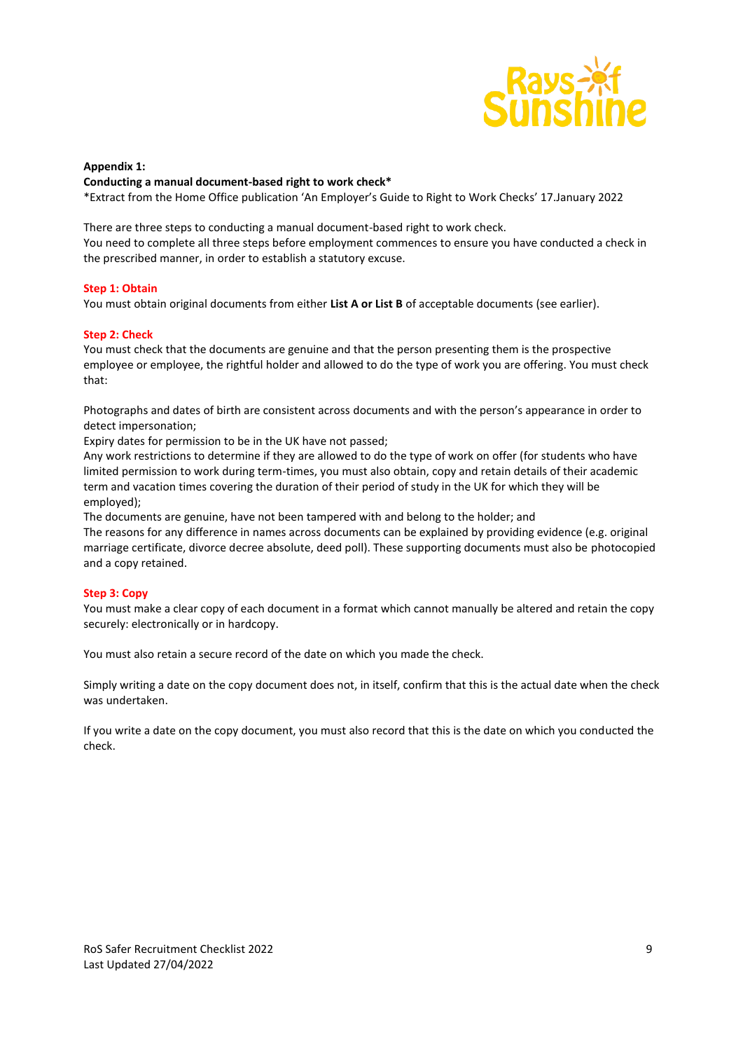

#### **Appendix 1:**

#### **Conducting a manual document-based right to work check\***

\*Extract from the Home Office publication 'An Employer's Guide to Right to Work Checks' 17.January 2022

There are three steps to conducting a manual document-based right to work check. You need to complete all three steps before employment commences to ensure you have conducted a check in the prescribed manner, in order to establish a statutory excuse.

#### **Step 1: Obtain**

You must obtain original documents from either **List A or List B** of acceptable documents (see earlier).

#### **Step 2: Check**

You must check that the documents are genuine and that the person presenting them is the prospective employee or employee, the rightful holder and allowed to do the type of work you are offering. You must check that:

Photographs and dates of birth are consistent across documents and with the person's appearance in order to detect impersonation;

Expiry dates for permission to be in the UK have not passed;

Any work restrictions to determine if they are allowed to do the type of work on offer (for students who have limited permission to work during term-times, you must also obtain, copy and retain details of their academic term and vacation times covering the duration of their period of study in the UK for which they will be employed);

The documents are genuine, have not been tampered with and belong to the holder; and

The reasons for any difference in names across documents can be explained by providing evidence (e.g. original marriage certificate, divorce decree absolute, deed poll). These supporting documents must also be photocopied and a copy retained.

#### **Step 3: Copy**

You must make a clear copy of each document in a format which cannot manually be altered and retain the copy securely: electronically or in hardcopy.

You must also retain a secure record of the date on which you made the check.

Simply writing a date on the copy document does not, in itself, confirm that this is the actual date when the check was undertaken.

If you write a date on the copy document, you must also record that this is the date on which you conducted the check.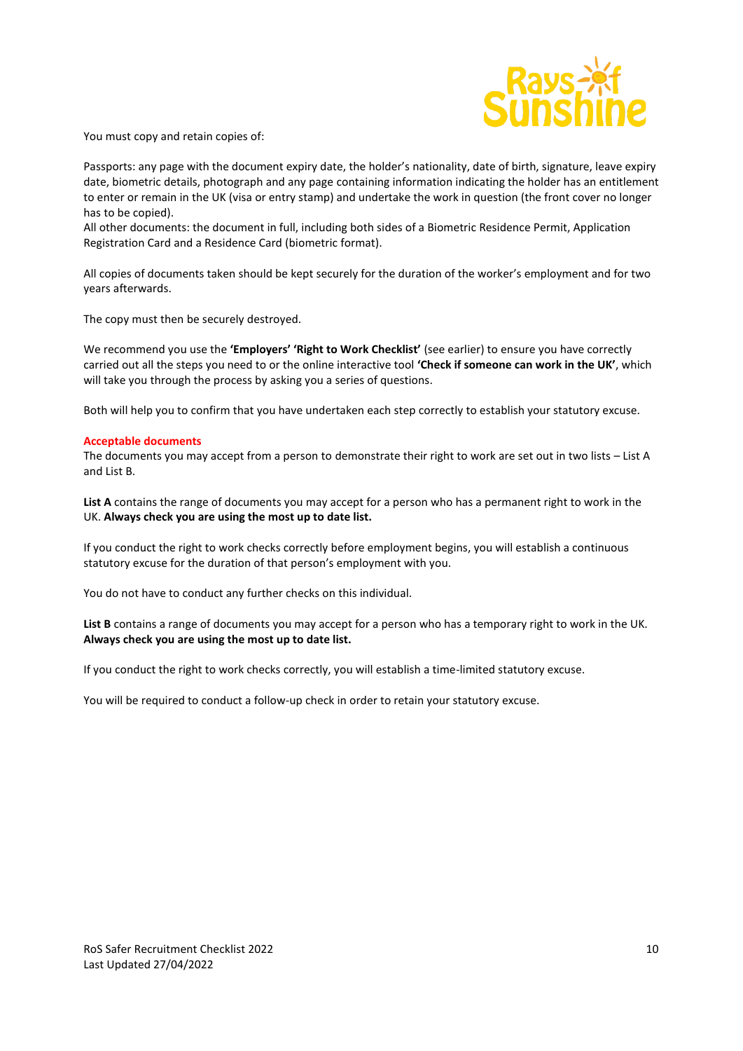

You must copy and retain copies of:

Passports: any page with the document expiry date, the holder's nationality, date of birth, signature, leave expiry date, biometric details, photograph and any page containing information indicating the holder has an entitlement to enter or remain in the UK (visa or entry stamp) and undertake the work in question (the front cover no longer has to be copied).

All other documents: the document in full, including both sides of a Biometric Residence Permit, Application Registration Card and a Residence Card (biometric format).

All copies of documents taken should be kept securely for the duration of the worker's employment and for two years afterwards.

The copy must then be securely destroyed.

We recommend you use the **'Employers' 'Right to Work Checklist'** (see earlier) to ensure you have correctly carried out all the steps you need to or the online interactive tool **'Check if someone can work in the UK'**, which will take you through the process by asking you a series of questions.

Both will help you to confirm that you have undertaken each step correctly to establish your statutory excuse.

#### **Acceptable documents**

The documents you may accept from a person to demonstrate their right to work are set out in two lists – List A and List B.

**List A** contains the range of documents you may accept for a person who has a permanent right to work in the UK. **Always check you are using the most up to date list.**

If you conduct the right to work checks correctly before employment begins, you will establish a continuous statutory excuse for the duration of that person's employment with you.

You do not have to conduct any further checks on this individual.

**List B** contains a range of documents you may accept for a person who has a temporary right to work in the UK. **Always check you are using the most up to date list.**

If you conduct the right to work checks correctly, you will establish a time-limited statutory excuse.

You will be required to conduct a follow-up check in order to retain your statutory excuse.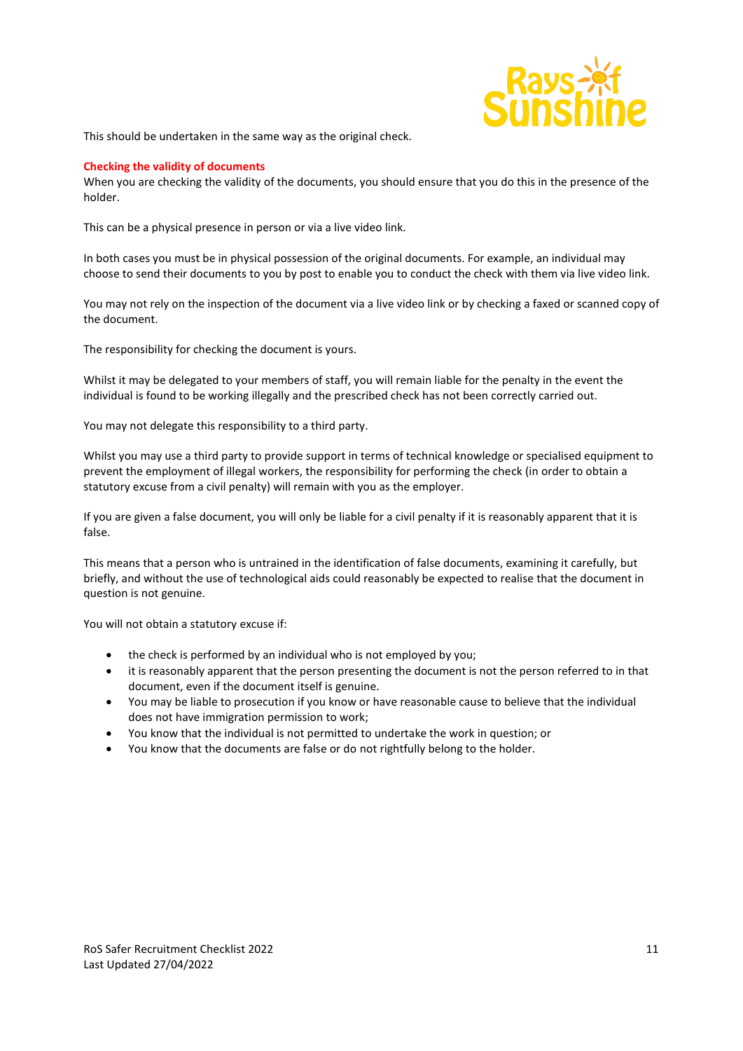

This should be undertaken in the same way as the original check.

#### **Checking the validity of documents**

When you are checking the validity of the documents, you should ensure that you do this in the presence of the holder.

This can be a physical presence in person or via a live video link.

In both cases you must be in physical possession of the original documents. For example, an individual may choose to send their documents to you by post to enable you to conduct the check with them via live video link.

You may not rely on the inspection of the document via a live video link or by checking a faxed or scanned copy of the document.

The responsibility for checking the document is yours.

Whilst it may be delegated to your members of staff, you will remain liable for the penalty in the event the individual is found to be working illegally and the prescribed check has not been correctly carried out.

You may not delegate this responsibility to a third party.

Whilst you may use a third party to provide support in terms of technical knowledge or specialised equipment to prevent the employment of illegal workers, the responsibility for performing the check (in order to obtain a statutory excuse from a civil penalty) will remain with you as the employer.

If you are given a false document, you will only be liable for a civil penalty if it is reasonably apparent that it is false.

This means that a person who is untrained in the identification of false documents, examining it carefully, but briefly, and without the use of technological aids could reasonably be expected to realise that the document in question is not genuine.

You will not obtain a statutory excuse if:

- the check is performed by an individual who is not employed by you;
- it is reasonably apparent that the person presenting the document is not the person referred to in that document, even if the document itself is genuine.
- You may be liable to prosecution if you know or have reasonable cause to believe that the individual does not have immigration permission to work;
- You know that the individual is not permitted to undertake the work in question; or
- You know that the documents are false or do not rightfully belong to the holder.